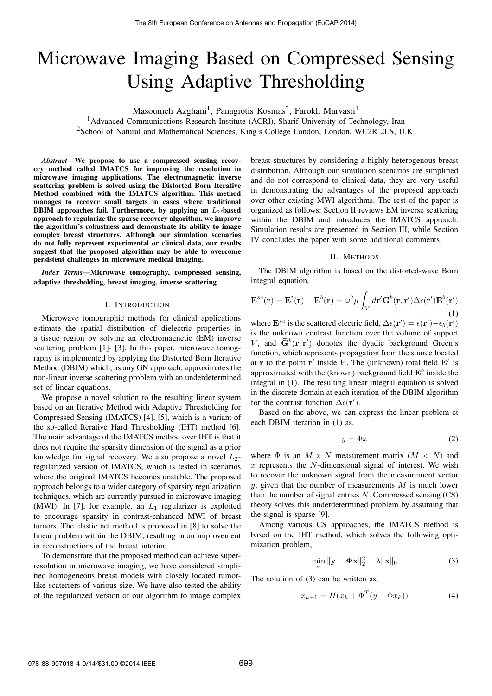# Microwave Imaging Based on Compressed Sensing Using Adaptive Thresholding

Masoumeh Azghani<sup>1</sup>, Panagiotis Kosmas<sup>2</sup>, Farokh Marvasti<sup>1</sup>

<sup>1</sup>Advanced Communications Research Institute (ACRI), Sharif University of Technology, Iran <sup>2</sup>School of Natural and Mathematical Sciences, King's College London, London, WC2R 2LS, U.K.

*Abstract*—We propose to use a compressed sensing recovery method called IMATCS for improving the resolution in microwave imaging applications. The electromagnetic inverse scattering problem is solved using the Distorted Born Iterative Method combined with the IMATCS algorithm. This method manages to recover small targets in cases where traditional DBIM approaches fail. Furthermore, by applying an  $L_2$ -based approach to regularize the sparse recovery algorithm, we improve the algorithm's robustness and demonstrate its ability to image complex breast structures. Although our simulation scenarios do not fully represent experimental or clinical data, our results suggest that the proposed algorithm may be able to overcome persistent challenges in microwave medical imaging.

*Index Terms*—Microwave tomography, compressed sensing, adaptive thresholding, breast imaging, inverse scattering

#### I. INTRODUCTION

Microwave tomographic methods for clinical applications estimate the spatial distribution of dielectric properties in a tissue region by solving an electromagnetic (EM) inverse scattering problem [1]- [3]. In this paper, microwave tomography is implemented by applying the Distorted Born Iterative Method (DBIM) which, as any GN approach, approximates the non-linear inverse scattering problem with an underdetermined set of linear equations.

We propose a novel solution to the resulting linear system based on an Iterative Method with Adaptive Thresholding for Compressed Sensing (IMATCS) [4], [5], which is a variant of the so-called Iterative Hard Thresholding (IHT) method [6]. The main advantage of the IMATCS method over IHT is that it does not require the sparsity dimension of the signal as a prior knowledge for signal recovery. We also propose a novel  $L_2$ regularized version of IMATCS, which is tested in scenarios where the original IMATCS becomes unstable. The proposed approach belongs to a wider category of sparsity regularization techniques, which are currently pursued in microwave imaging (MWI). In [7], for example, an  $L_1$  regularizer is exploited to encourage sparsity in contrast-enhanced MWI of breast tumors. The elastic net method is proposed in [8] to solve the linear problem within the DBIM, resulting in an improvement in reconstructions of the breast interior.

To demonstrate that the proposed method can achieve superresolution in microwave imaging, we have considered simplified homogeneous breast models with closely located tumorlike scaterrers of various size. We have also tested the ability of the regularized version of our algorithm to image complex

breast structures by considering a highly heterogenous breast distribution. Although our simulation scenarios are simplified and do not correspond to clinical data, they are very useful in demonstrating the advantages of the proposed approach over other existing MWI algorithms. The rest of the paper is organized as follows: Section II reviews EM inverse scattering within the DBIM and introduces the IMATCS approach. Simulation results are presented in Section III, while Section IV concludes the paper with some additional comments.

#### II. METHODS

The DBIM algorithm is based on the distorted-wave Born integral equation,

$$
\mathbf{E}^{sc}(\mathbf{r}) = \mathbf{E}^t(\mathbf{r}) - \mathbf{E}^b(\mathbf{r}) = \omega^2 \mu \int_V d\mathbf{r}' \bar{\mathbf{G}}^b(\mathbf{r}, \mathbf{r}') \Delta \epsilon(\mathbf{r}') \mathbf{E}^b(\mathbf{r}')
$$
(1)

where  $\mathbf{E}^{sc}$  is the scattered electric field,  $\Delta \epsilon(\mathbf{r}') = \epsilon(\mathbf{r}') - \epsilon_b(\mathbf{r}')$ is the unknown contrast function over the volume of support  $V$ , and  $\bar{G}^b(\mathbf{r}, \mathbf{r}')$  donotes the dyadic background Green's function, which represents propagation from the source located at **r** to the point **r**<sup> $\prime$ </sup> inside *V*. The (unknown) total field  $\mathbf{E}^t$  is approximated with the (known) background field  $\mathbf{E}^b$  inside the integral in (1). The resulting linear integral equation is solved in the discrete domain at each iteration of the DBIM algorithm for the contrast function  $\Delta \epsilon(\mathbf{r}')$ .

Based on the above, we can express the linear problem et each DBIM iteration in (1) as,

$$
y = \Phi x \tag{2}
$$

where  $\Phi$  is an  $M \times N$  measurement matrix  $(M \lt N)$  and  $x$  represents the  $N$ -dimensional signal of interest. We wish to recover the unknown signal from the measurement vector y, given that the number of measurements  $M$  is much lower than the number of signal entries  $N$ . Compressed sensing  $(CS)$ theory solves this underdetermined problem by assuming that the signal is sparse [9].

Among various CS approaches, the IMATCS method is based on the IHT method, which solves the following optimization problem,

$$
\min_{\mathbf{x}} \|\mathbf{y} - \mathbf{\Phi}\mathbf{x}\|_2^2 + \lambda \|\mathbf{x}\|_0 \tag{3}
$$

The solution of (3) can be written as,

$$
x_{k+1} = H(x_k + \Phi^T(y - \Phi x_k))
$$
 (4)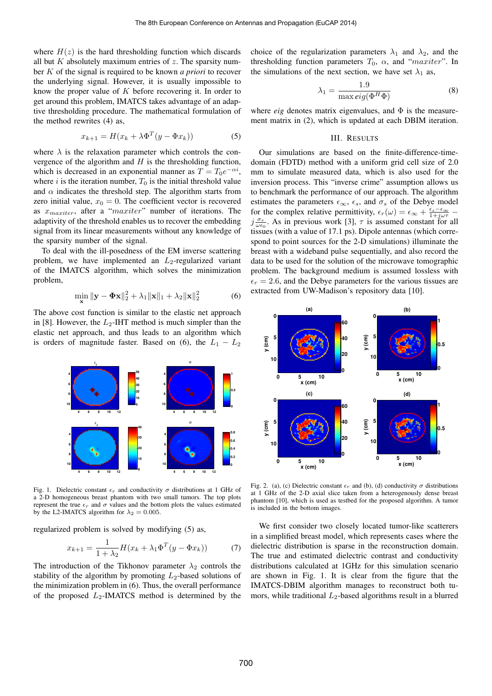where  $H(z)$  is the hard thresholding function which discards all but K absolutely maximum entries of z. The sparsity number K of the signal is required to be known *a priori* to recover the underlying signal. However, it is usually impossible to know the proper value of  $K$  before recovering it. In order to get around this problem, IMATCS takes advantage of an adaptive thresholding procedure. The mathematical formulation of the method rewrites (4) as,

$$
x_{k+1} = H(x_k + \lambda \Phi^T (y - \Phi x_k))
$$
 (5)

where  $\lambda$  is the relaxation parameter which controls the convergence of the algorithm and  $H$  is the thresholding function, which is decreased in an exponential manner as  $T = T_0 e^{-\alpha i}$ , where i is the iteration number,  $T_0$  is the initial threshold value and  $\alpha$  indicates the threshold step. The algorithm starts from zero initial value,  $x_0 = 0$ . The coefficient vector is recovered as  $x_{maxiter}$ , after a "maxiter" number of iterations. The adaptivity of the threshold enables us to recover the embedding signal from its linear measurements without any knowledge of the sparsity number of the signal.

To deal with the ill-posedness of the EM inverse scattering problem, we have implemented an  $L_2$ -regularized variant of the IMATCS algorithm, which solves the minimization problem,

$$
\min_{\mathbf{x}} \|\mathbf{y} - \mathbf{\Phi}\mathbf{x}\|_{2}^{2} + \lambda_{1} \|\mathbf{x}\|_{1} + \lambda_{2} \|\mathbf{x}\|_{2}^{2}
$$
 (6)

The above cost function is similar to the elastic net approach in [8]. However, the  $L_2$ -IHT method is much simpler than the elastic net approach, and thus leads to an algorithm which is orders of magnitude faster. Based on (6), the  $L_1 - L_2$ 



Fig. 1. Dielectric constant  $\epsilon_r$  and conductivity  $\sigma$  distributions at 1 GHz of a 2-D homogeneous breast phantom with two small tumors. The top plots represent the true  $\epsilon_r$  and  $\sigma$  values and the bottom plots the values estimated by the L2-IMATCS algorithm for  $\lambda_2 = 0.005$ .

regularized problem is solved by modifying (5) as,

$$
x_{k+1} = \frac{1}{1 + \lambda_2} H(x_k + \lambda_1 \Phi^T (y - \Phi x_k))
$$
 (7)

The introduction of the Tikhonov parameter  $\lambda_2$  controls the stability of the algorithm by promoting  $L_2$ -based solutions of the minimization problem in (6). Thus, the overall performance of the proposed  $L_2$ -IMATCS method is determined by the

choice of the regularization parameters  $\lambda_1$  and  $\lambda_2$ , and the thresholding function parameters  $T_0$ ,  $\alpha$ , and "maxiter". In the simulations of the next section, we have set  $\lambda_1$  as,

$$
\lambda_1 = \frac{1.9}{\max \text{eig}(\Phi^H \Phi)}\tag{8}
$$

where *eig* denotes matrix eigenvalues, and  $\Phi$  is the measurement matrix in (2), which is updated at each DBIM iteration.

#### III. RESULTS

Our simulations are based on the finite-difference-timedomain (FDTD) method with a uniform grid cell size of 2.0 mm to simulate measured data, which is also used for the inversion process. This "inverse crime" assumption allows us to benchmark the performance of our approach. The algorithm estimates the parameters  $\epsilon_{\infty}$ ,  $\epsilon_{s}$ , and  $\sigma_{s}$  of the Debye model for the complex relative permittivity,  $\epsilon_r(\omega) = \epsilon_\infty + \frac{\epsilon_s - \epsilon_\infty}{1 + j\omega\tau}$  $j\frac{\sigma_s}{\omega\epsilon_0}$ . As in previous work [3],  $\tau$  is assumed constant for all tissues (with a value of 17.1 ps). Dipole antennas (which correspond to point sources for the 2-D simulations) illuminate the breast with a wideband pulse sequentially, and also record the data to be used for the solution of the microwave tomographic problem. The background medium is assumed lossless with  $\epsilon_r = 2.6$ , and the Debye parameters for the various tissues are extracted from UW-Madison's repository data [10].



Fig. 2. (a), (c) Dielectric constant  $\epsilon_r$  and (b), (d) conductivity  $\sigma$  distributions at 1 GHz of the 2-D axial slice taken from a heterogenously dense breast phantom [10], which is used as testbed for the proposed algorithm. A tumor is included in the bottom images.

We first consider two closely located tumor-like scatterers in a simplified breast model, which represents cases where the dielectric distribution is sparse in the reconstruction domain. The true and estimated dielectric contrast and conductivity distributions calculated at 1GHz for this simulation scenario are shown in Fig. 1. It is clear from the figure that the IMATCS-DBIM algorithm manages to reconstruct both tumors, while traditional  $L_2$ -based algorithms result in a blurred